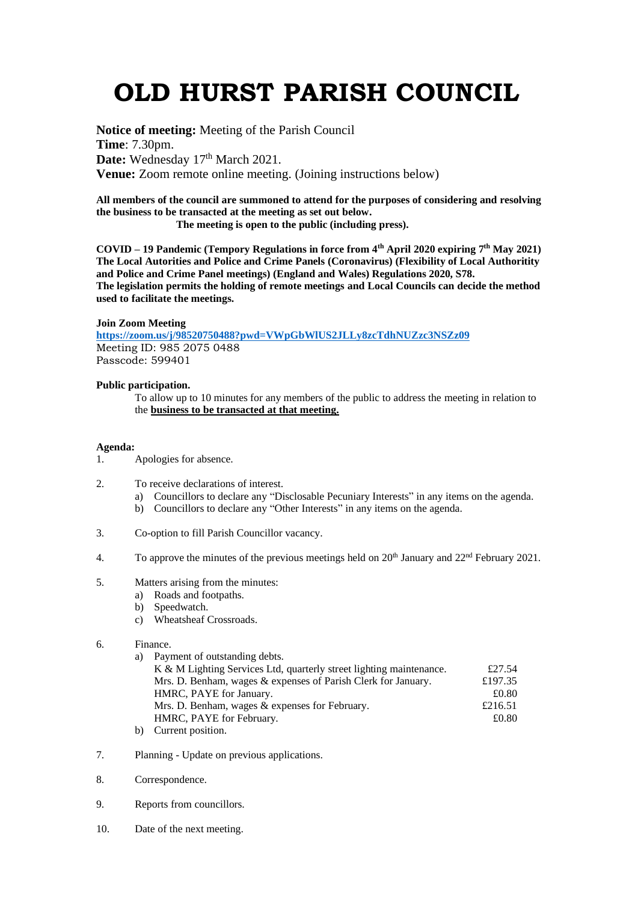## **OLD HURST PARISH COUNCIL**

**Notice of meeting:** Meeting of the Parish Council **Time**: 7.30pm. Date: Wednesday 17<sup>th</sup> March 2021. **Venue:** Zoom remote online meeting. (Joining instructions below)

**All members of the council are summoned to attend for the purposes of considering and resolving the business to be transacted at the meeting as set out below.**

 **The meeting is open to the public (including press).**

**COVID – 19 Pandemic (Tempory Regulations in force from 4th April 2020 expiring 7 th May 2021) The Local Autorities and Police and Crime Panels (Coronavirus) (Flexibility of Local Authoritity and Police and Crime Panel meetings) (England and Wales) Regulations 2020, S78. The legislation permits the holding of remote meetings and Local Councils can decide the method used to facilitate the meetings.**

## **Join Zoom Meeting**

**<https://zoom.us/j/98520750488?pwd=VWpGbWlUS2JLLy8zcTdhNUZzc3NSZz09>** Meeting ID: 985 2075 0488 Passcode: 599401

## **Public participation.**

To allow up to 10 minutes for any members of the public to address the meeting in relation to the **business to be transacted at that meeting.** 

## **Agenda:**

- 1. Apologies for absence.
- 2. To receive declarations of interest.
	- a) Councillors to declare any "Disclosable Pecuniary Interests" in any items on the agenda.
	- b) Councillors to declare any "Other Interests" in any items on the agenda.
- 3. Co-option to fill Parish Councillor vacancy.
- 4. To approve the minutes of the previous meetings held on  $20^{th}$  January and  $22^{nd}$  February 2021.
- 5. Matters arising from the minutes:
	- a) Roads and footpaths.
	- b) Speedwatch.
	- c) Wheatsheaf Crossroads.
- 6. Finance.
	- a) Payment of outstanding debts.

| K & M Lighting Services Ltd, quarterly street lighting maintenance. | £27.54  |
|---------------------------------------------------------------------|---------|
| Mrs. D. Benham, wages & expenses of Parish Clerk for January.       | £197.35 |
| HMRC, PAYE for January.                                             | £0.80   |
| Mrs. D. Benham, wages & expenses for February.                      | £216.51 |
| HMRC, PAYE for February.                                            | £0.80   |
| $\sim$ $\sim$ $\sim$ $\sim$ $\sim$                                  |         |

- b) Current position.
- 7. Planning Update on previous applications.
- 8. Correspondence.
- 9. Reports from councillors.
- 10. Date of the next meeting.